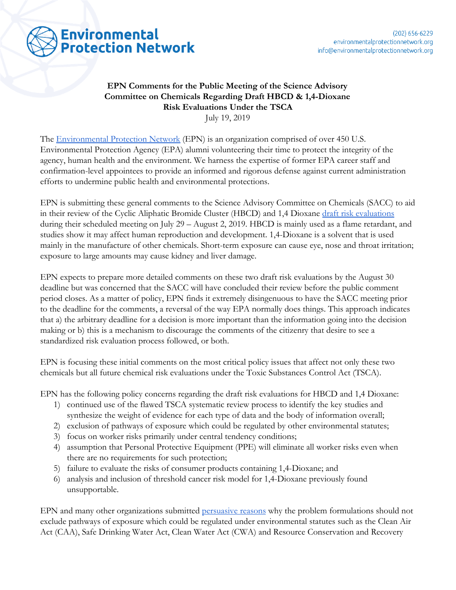

## **EPN Comments for the Public Meeting of the Science Advisory Committee on Chemicals Regarding Draft HBCD & 1,4-Dioxane Risk Evaluations Under the TSCA**

July 19, 2019

The [Environmental Protection Network](https://www.environmentalprotectionnetwork.org/) (EPN) is an organization comprised of over 450 U.S. Environmental Protection Agency (EPA) alumni volunteering their time to protect the integrity of the agency, human health and the environment. We harness the expertise of former EPA career staff and confirmation-level appointees to provide an informed and rigorous defense against current administration efforts to undermine public health and environmental protections.

EPN is submitting these general comments to the Science Advisory Committee on Chemicals (SACC) to aid in their review of the Cyclic Aliphatic Bromide Cluster (HBCD) and 1,4 Dioxane [draft risk evaluations](https://www.federalregister.gov/documents/2019/07/01/2019-14021/draft-toxic-substances-control-act-tsca-risk-evaluations-and-tsca-science-advisory-committee-on) during their scheduled meeting on July 29 – August 2, 2019. HBCD is mainly used as a flame retardant, and studies show it may affect human reproduction and development. 1,4-Dioxane is a solvent that is used mainly in the manufacture of other chemicals. Short-term exposure can cause eye, nose and throat irritation; exposure to large amounts may cause kidney and liver damage.

EPN expects to prepare more detailed comments on these two draft risk evaluations by the August 30 deadline but was concerned that the SACC will have concluded their review before the public comment period closes. As a matter of policy, EPN finds it extremely disingenuous to have the SACC meeting prior to the deadline for the comments, a reversal of the way EPA normally does things. This approach indicates that a) the arbitrary deadline for a decision is more important than the information going into the decision making or b) this is a mechanism to discourage the comments of the citizenry that desire to see a standardized risk evaluation process followed, or both.

EPN is focusing these initial comments on the most critical policy issues that affect not only these two chemicals but all future chemical risk evaluations under the Toxic Substances Control Act (TSCA).

EPN has the following policy concerns regarding the draft risk evaluations for HBCD and 1,4 Dioxane:

- 1) continued use of the flawed TSCA systematic review process to identify the key studies and synthesize the weight of evidence for each type of data and the body of information overall;
- 2) exclusion of pathways of exposure which could be regulated by other environmental statutes;
- 3) focus on worker risks primarily under central tendency conditions;
- 4) assumption that Personal Protective Equipment (PPE) will eliminate all worker risks even when there are no requirements for such protection;
- 5) failure to evaluate the risks of consumer products containing 1,4-Dioxane; and
- 6) analysis and inclusion of threshold cancer risk model for 1,4-Dioxane previously found unsupportable.

EPN and many other organizations submitted [persuasive reasons](https://www.environmentalprotectionnetwork.org/epn-comments-on-draft-formulations-describing-how-epa-will-conduct-risk-evaluations-of-three-toxic-substances/) why the problem formulations should not exclude pathways of exposure which could be regulated under environmental statutes such as the Clean Air Act (CAA), Safe Drinking Water Act, Clean Water Act (CWA) and Resource Conservation and Recovery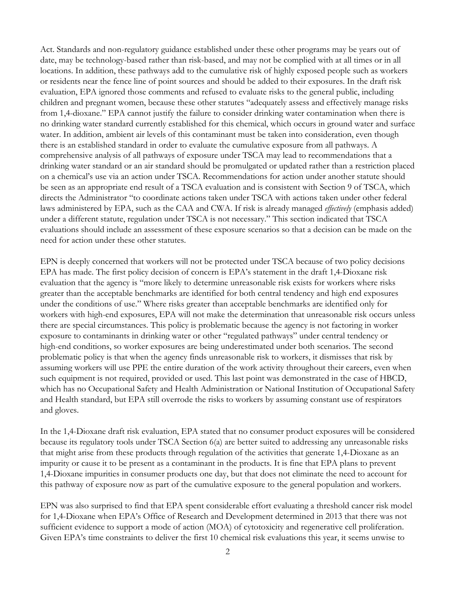Act. Standards and non-regulatory guidance established under these other programs may be years out of date, may be technology-based rather than risk-based, and may not be complied with at all times or in all locations. In addition, these pathways add to the cumulative risk of highly exposed people such as workers or residents near the fence line of point sources and should be added to their exposures. In the draft risk evaluation, EPA ignored those comments and refused to evaluate risks to the general public, including children and pregnant women, because these other statutes "adequately assess and effectively manage risks from 1,4-dioxane." EPA cannot justify the failure to consider drinking water contamination when there is no drinking water standard currently established for this chemical, which occurs in ground water and surface water. In addition, ambient air levels of this contaminant must be taken into consideration, even though there is an established standard in order to evaluate the cumulative exposure from all pathways. A comprehensive analysis of all pathways of exposure under TSCA may lead to recommendations that a drinking water standard or an air standard should be promulgated or updated rather than a restriction placed on a chemical's use via an action under TSCA. Recommendations for action under another statute should be seen as an appropriate end result of a TSCA evaluation and is consistent with Section 9 of TSCA, which directs the Administrator "to coordinate actions taken under TSCA with actions taken under other federal laws administered by EPA, such as the CAA and CWA. If risk is already managed *effectively* (emphasis added) under a different statute, regulation under TSCA is not necessary." This section indicated that TSCA evaluations should include an assessment of these exposure scenarios so that a decision can be made on the need for action under these other statutes.

EPN is deeply concerned that workers will not be protected under TSCA because of two policy decisions EPA has made. The first policy decision of concern is EPA's statement in the draft 1,4-Dioxane risk evaluation that the agency is "more likely to determine unreasonable risk exists for workers where risks greater than the acceptable benchmarks are identified for both central tendency and high end exposures under the conditions of use." Where risks greater than acceptable benchmarks are identified only for workers with high-end exposures, EPA will not make the determination that unreasonable risk occurs unless there are special circumstances. This policy is problematic because the agency is not factoring in worker exposure to contaminants in drinking water or other "regulated pathways" under central tendency or high-end conditions, so worker exposures are being underestimated under both scenarios. The second problematic policy is that when the agency finds unreasonable risk to workers, it dismisses that risk by assuming workers will use PPE the entire duration of the work activity throughout their careers, even when such equipment is not required, provided or used. This last point was demonstrated in the case of HBCD, which has no Occupational Safety and Health Administration or National Institution of Occupational Safety and Health standard, but EPA still overrode the risks to workers by assuming constant use of respirators and gloves.

In the 1,4-Dioxane draft risk evaluation, EPA stated that no consumer product exposures will be considered because its regulatory tools under TSCA Section 6(a) are better suited to addressing any unreasonable risks that might arise from these products through regulation of the activities that generate 1,4-Dioxane as an impurity or cause it to be present as a contaminant in the products. It is fine that EPA plans to prevent 1,4-Dioxane impurities in consumer products one day, but that does not eliminate the need to account for this pathway of exposure now as part of the cumulative exposure to the general population and workers.

EPN was also surprised to find that EPA spent considerable effort evaluating a threshold cancer risk model for 1,4-Dioxane when EPA's Office of Research and Development determined in 2013 that there was not sufficient evidence to support a mode of action (MOA) of cytotoxicity and regenerative cell proliferation. Given EPA's time constraints to deliver the first 10 chemical risk evaluations this year, it seems unwise to